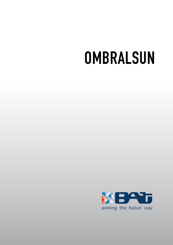# **OMBRALSUN**

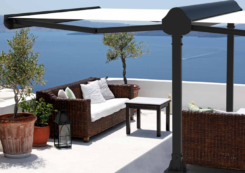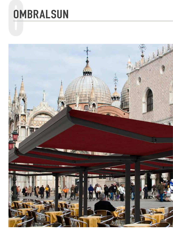## OMBRALSUN

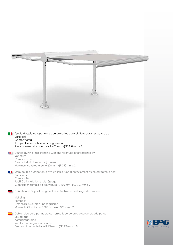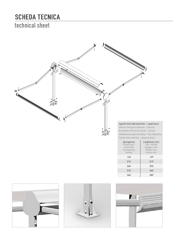## SCHEDA TECNICA

### technical sheet



Minimum awning encumbrances - 1 pair arms Encombrents minimum du store fini - 1 pair bras Mindestabmessungen der Markise -1 Paar Gelenkarme Tamaño minimo del toldo - 1 pareja de brazos

| Sporgenza<br>Projection<br>Avancée<br>Ausladung<br>Salida | Larghezza min.<br>Min. Width<br>Largeur min.<br>Breite min.<br>Línea mín. |
|-----------------------------------------------------------|---------------------------------------------------------------------------|
| 160                                                       | 169                                                                       |
| 210                                                       | 219                                                                       |
| 260                                                       | 303                                                                       |
| 310                                                       | 345                                                                       |
| 360                                                       |                                                                           |





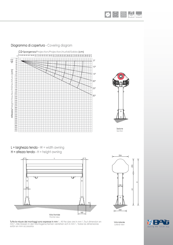



Diagramma di copertura - Covering diagram





Tutte le misure dei montaggi sono espresse in mm \ All the sizes are in mm \ Tout dimension en mm \ Alle Massen in den Montagenschemen verstehen sich in mm \ Todas las dimensiones están en mm accesorios



Sezione Section

 $\circ$  $\circ$ 

Vista laterale Lateral view